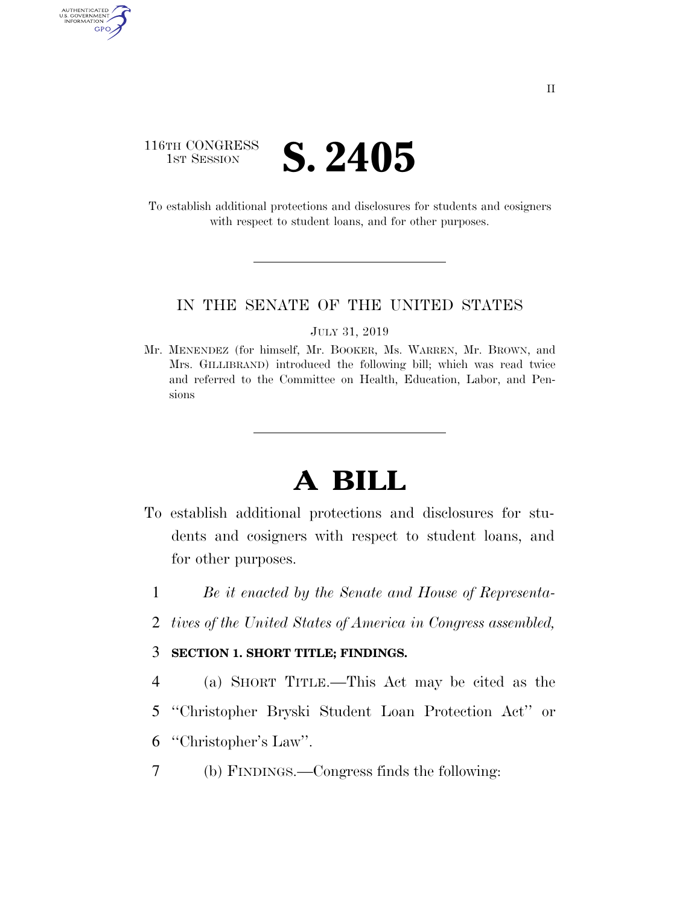# 116TH CONGRESS **IST SESSION S. 2405**

AUTHENTICATED<br>U.S. GOVERNMENT<br>INFORMATION GPO

> To establish additional protections and disclosures for students and cosigners with respect to student loans, and for other purposes.

### IN THE SENATE OF THE UNITED STATES

JULY 31, 2019

Mr. MENENDEZ (for himself, Mr. BOOKER, Ms. WARREN, Mr. BROWN, and Mrs. GILLIBRAND) introduced the following bill; which was read twice and referred to the Committee on Health, Education, Labor, and Pensions

# **A BILL**

- To establish additional protections and disclosures for students and cosigners with respect to student loans, and for other purposes.
	- 1 *Be it enacted by the Senate and House of Representa-*
	- 2 *tives of the United States of America in Congress assembled,*

### 3 **SECTION 1. SHORT TITLE; FINDINGS.**

- 4 (a) SHORT TITLE.—This Act may be cited as the
- 5 ''Christopher Bryski Student Loan Protection Act'' or
- 6 ''Christopher's Law''.
- 7 (b) FINDINGS.—Congress finds the following: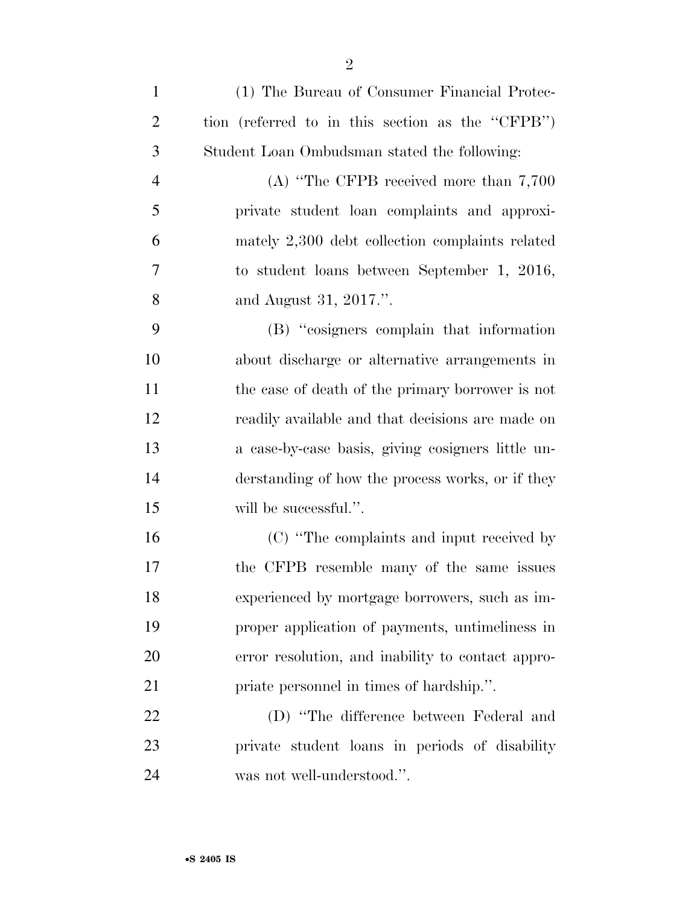| $\mathbf{1}$   | (1) The Bureau of Consumer Financial Protec-      |
|----------------|---------------------------------------------------|
| $\overline{2}$ | tion (referred to in this section as the "CFPB")  |
| 3              | Student Loan Ombudsman stated the following:      |
| $\overline{4}$ | (A) "The CFPB received more than $7,700$          |
| 5              | private student loan complaints and approxi-      |
| 6              | mately 2,300 debt collection complaints related   |
| 7              | to student loans between September 1, 2016,       |
| 8              | and August 31, 2017.".                            |
| 9              | (B) "cosigners complain that information          |
| 10             | about discharge or alternative arrangements in    |
| 11             | the case of death of the primary borrower is not  |
| 12             | readily available and that decisions are made on  |
| 13             | a case-by-case basis, giving cosigners little un- |
| 14             | derstanding of how the process works, or if they  |
| 15             | will be successful.".                             |
| 16             | (C) "The complaints and input received by         |
| 17             | the CFPB resemble many of the same issues         |
| 18             | experienced by mortgage borrowers, such as im-    |
| 19             | proper application of payments, untimeliness in   |
| 20             | error resolution, and inability to contact appro- |
| 21             | priate personnel in times of hardship.".          |
| 22             | (D) "The difference between Federal and           |
| 23             | private student loans in periods of disability    |

was not well-understood.''.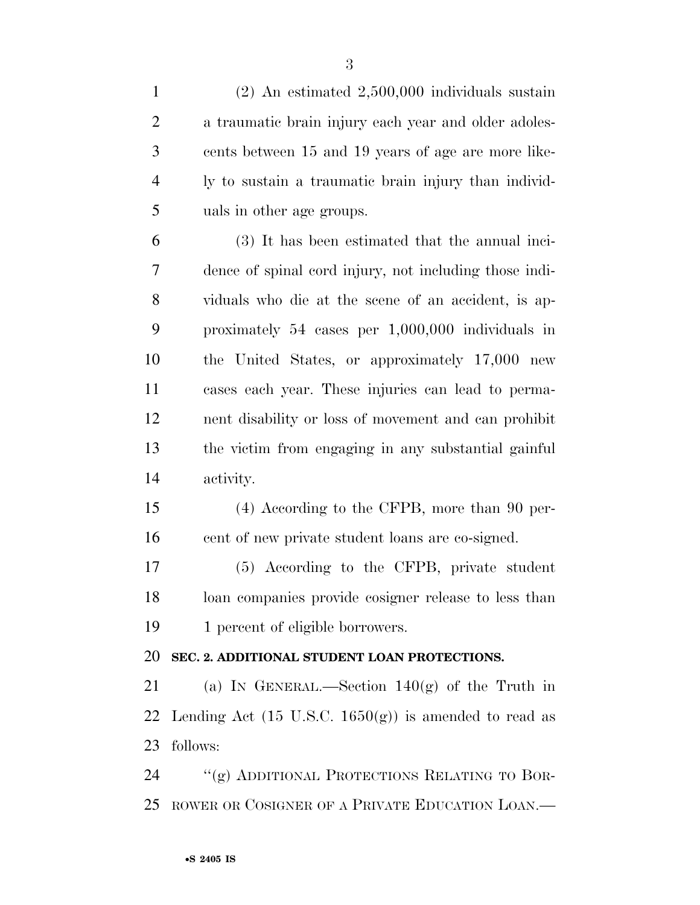(2) An estimated 2,500,000 individuals sustain a traumatic brain injury each year and older adoles- cents between 15 and 19 years of age are more like- ly to sustain a traumatic brain injury than individ-uals in other age groups.

 (3) It has been estimated that the annual inci- dence of spinal cord injury, not including those indi- viduals who die at the scene of an accident, is ap- proximately 54 cases per 1,000,000 individuals in the United States, or approximately 17,000 new cases each year. These injuries can lead to perma- nent disability or loss of movement and can prohibit the victim from engaging in any substantial gainful activity.

 (4) According to the CFPB, more than 90 per-cent of new private student loans are co-signed.

 (5) According to the CFPB, private student loan companies provide cosigner release to less than 19 1 percent of eligible borrowers.

## **SEC. 2. ADDITIONAL STUDENT LOAN PROTECTIONS.**

 (a) IN GENERAL.—Section 140(g) of the Truth in 22 Lending Act  $(15 \text{ U.S.C. } 1650(g))$  is amended to read as follows:

 ''(g) ADDITIONAL PROTECTIONS RELATING TO BOR-ROWER OR COSIGNER OF A PRIVATE EDUCATION LOAN.—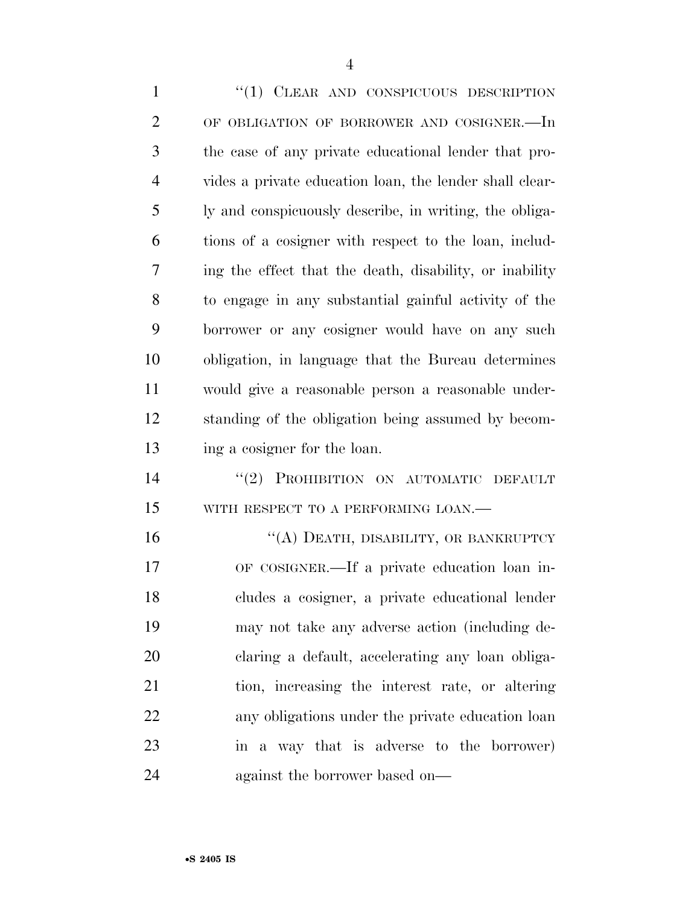1 "(1) CLEAR AND CONSPICUOUS DESCRIPTION OF OBLIGATION OF BORROWER AND COSIGNER.—In the case of any private educational lender that pro- vides a private education loan, the lender shall clear- ly and conspicuously describe, in writing, the obliga- tions of a cosigner with respect to the loan, includ- ing the effect that the death, disability, or inability to engage in any substantial gainful activity of the borrower or any cosigner would have on any such obligation, in language that the Bureau determines would give a reasonable person a reasonable under- standing of the obligation being assumed by becom- ing a cosigner for the loan. 14 "(2) PROHIBITION ON AUTOMATIC DEFAULT 15 WITH RESPECT TO A PERFORMING LOAN.— 16 "(A) DEATH, DISABILITY, OR BANKRUPTCY OF COSIGNER.—If a private education loan in- cludes a cosigner, a private educational lender may not take any adverse action (including de-claring a default, accelerating any loan obliga-

 tion, increasing the interest rate, or altering any obligations under the private education loan in a way that is adverse to the borrower) against the borrower based on—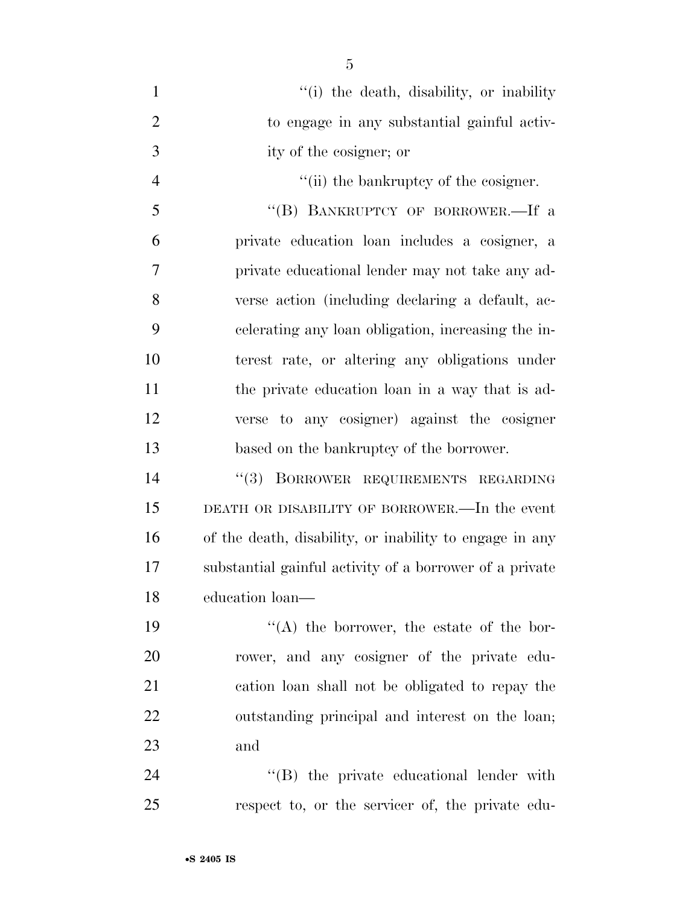| $\mathbf{1}$   | "(i) the death, disability, or inability                |
|----------------|---------------------------------------------------------|
| $\overline{2}$ | to engage in any substantial gainful activ-             |
| 3              | ity of the cosigner; or                                 |
| $\overline{4}$ | "(ii) the bankruptcy of the cosigner.                   |
| 5              | "(B) BANKRUPTCY OF BORROWER.-If a                       |
| 6              | private education loan includes a cosigner, a           |
| 7              | private educational lender may not take any ad-         |
| 8              | verse action (including declaring a default, ac-        |
| 9              | celerating any loan obligation, increasing the in-      |
| 10             | terest rate, or altering any obligations under          |
| 11             | the private education loan in a way that is ad-         |
| 12             | verse to any cosigner) against the cosigner             |
| 13             | based on the bankruptcy of the borrower.                |
| 14             | "(3) BORROWER REQUIREMENTS REGARDING                    |
| 15             | DEATH OR DISABILITY OF BORROWER.—In the event           |
| 16             | of the death, disability, or inability to engage in any |
| 17             | substantial gainful activity of a borrower of a private |
| 18             | education loan-                                         |
| 19             | $\lq\lq$ the borrower, the estate of the bor-           |
| 20             | rower, and any cosigner of the private edu-             |
| 21             | cation loan shall not be obligated to repay the         |
| 22             | outstanding principal and interest on the loan;         |
| 23             | and                                                     |
| 24             | "(B) the private educational lender with                |
| 25             | respect to, or the servicer of, the private edu-        |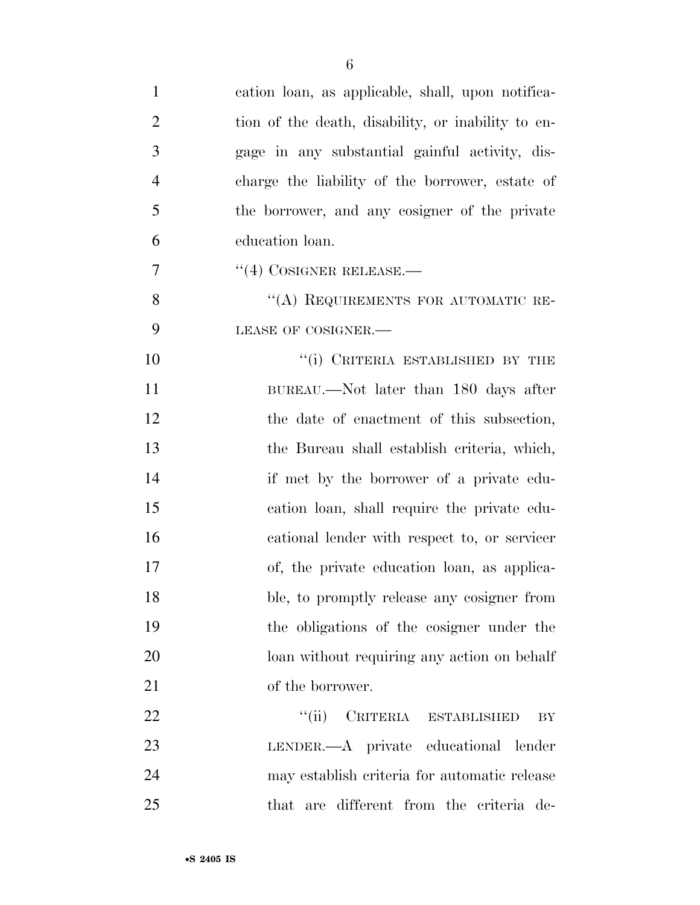| $\mathbf{1}$   | cation loan, as applicable, shall, upon notifica-  |
|----------------|----------------------------------------------------|
| $\overline{2}$ | tion of the death, disability, or inability to en- |
| 3              | gage in any substantial gainful activity, dis-     |
| $\overline{4}$ | charge the liability of the borrower, estate of    |
| 5              | the borrower, and any cosigner of the private      |
| 6              | education loan.                                    |
| $\overline{7}$ | $``(4)$ COSIGNER RELEASE.—                         |
| 8              | "(A) REQUIREMENTS FOR AUTOMATIC RE-                |
| 9              | LEASE OF COSIGNER.-                                |
| 10             | "(i) CRITERIA ESTABLISHED BY THE                   |
| 11             | BUREAU.—Not later than 180 days after              |
| 12             | the date of enactment of this subsection,          |
| 13             | the Bureau shall establish criteria, which,        |
| 14             | if met by the borrower of a private edu-           |
| 15             | cation loan, shall require the private edu-        |
| 16             | cational lender with respect to, or servicer       |
| 17             | of, the private education loan, as applica-        |
| 18             | ble, to promptly release any cosigner from         |
| 19             | the obligations of the cosigner under the          |
| 20             | loan without requiring any action on behalf        |
| 21             | of the borrower.                                   |
| 22             | "(ii) CRITERIA ESTABLISHED<br>BY                   |
| 23             | LENDER.—A private educational lender               |
| 24             | may establish criteria for automatic release       |
| 25             | that are different from the criteria de-           |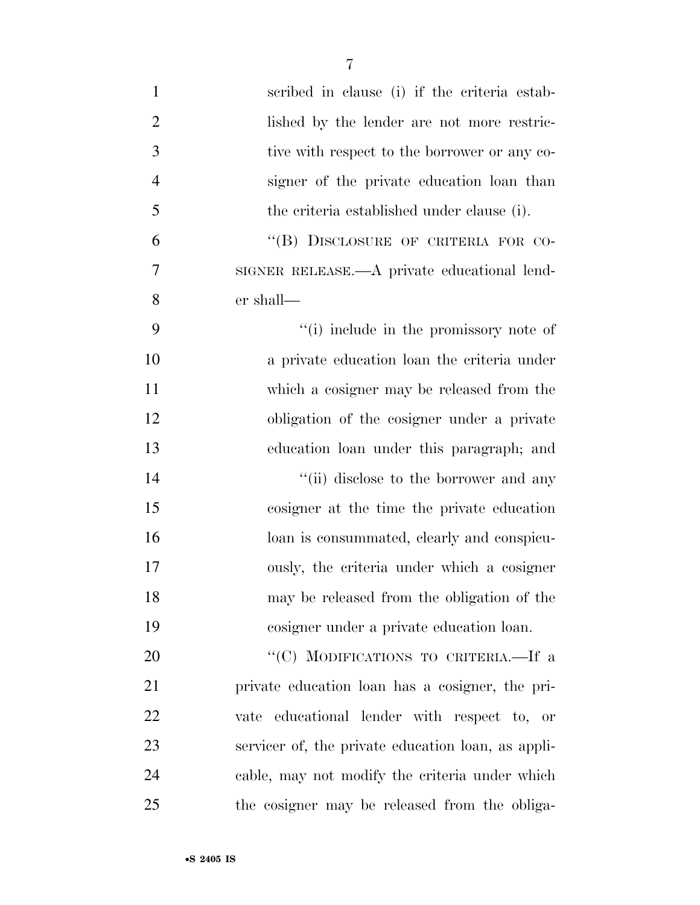| $\mathbf{1}$   | scribed in clause (i) if the criteria estab-       |
|----------------|----------------------------------------------------|
| $\overline{2}$ | lished by the lender are not more restric-         |
| 3              | tive with respect to the borrower or any co-       |
| $\overline{4}$ | signer of the private education loan than          |
| 5              | the criteria established under clause (i).         |
| 6              | "(B) DISCLOSURE OF CRITERIA FOR CO-                |
| $\overline{7}$ | SIGNER RELEASE.—A private educational lend-        |
| 8              | er shall—                                          |
| 9              | "(i) include in the promissory note of             |
| 10             | a private education loan the criteria under        |
| 11             | which a cosigner may be released from the          |
| 12             | obligation of the cosigner under a private         |
| 13             | education loan under this paragraph; and           |
| 14             | "(ii) disclose to the borrower and any             |
| 15             | cosigner at the time the private education         |
| 16             | loan is consummated, clearly and conspicu-         |
| 17             | ously, the criteria under which a cosigner         |
| 18             | may be released from the obligation of the         |
| 19             | cosigner under a private education loan.           |
| 20             | "(C) MODIFICATIONS TO CRITERIA.-If a               |
| 21             | private education loan has a cosigner, the pri-    |
| 22             | vate educational lender with respect to, or        |
| 23             | servicer of, the private education loan, as appli- |
| 24             | cable, may not modify the criteria under which     |
| 25             | the cosigner may be released from the obliga-      |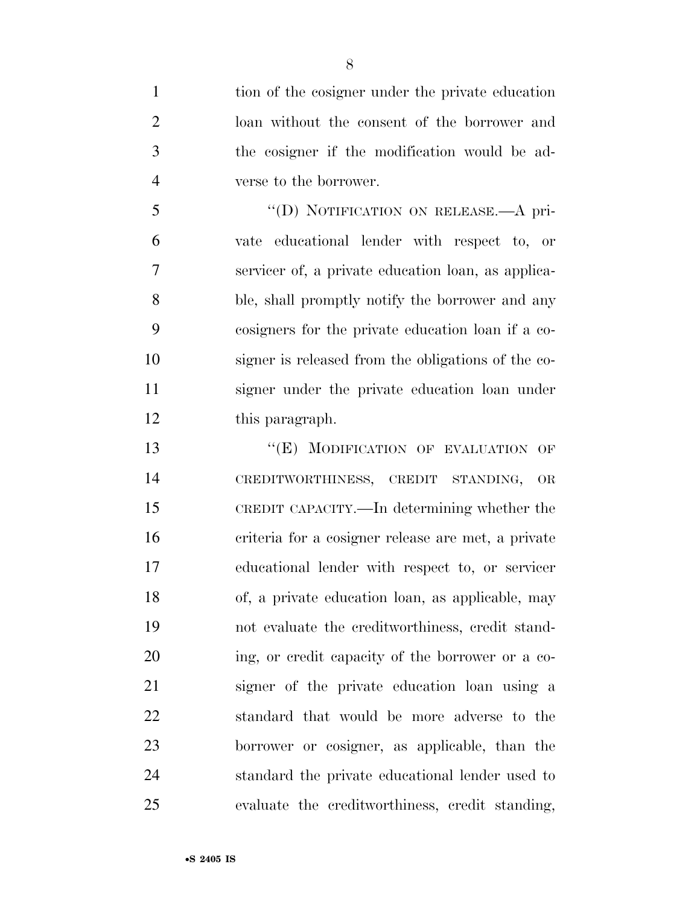tion of the cosigner under the private education loan without the consent of the borrower and the cosigner if the modification would be ad-verse to the borrower.

 ''(D) NOTIFICATION ON RELEASE.—A pri- vate educational lender with respect to, or servicer of, a private education loan, as applica- ble, shall promptly notify the borrower and any cosigners for the private education loan if a co- signer is released from the obligations of the co- signer under the private education loan under this paragraph.

13 "(E) MODIFICATION OF EVALUATION OF CREDITWORTHINESS, CREDIT STANDING, OR CREDIT CAPACITY.—In determining whether the criteria for a cosigner release are met, a private educational lender with respect to, or servicer of, a private education loan, as applicable, may not evaluate the creditworthiness, credit stand- ing, or credit capacity of the borrower or a co- signer of the private education loan using a standard that would be more adverse to the borrower or cosigner, as applicable, than the standard the private educational lender used to evaluate the creditworthiness, credit standing,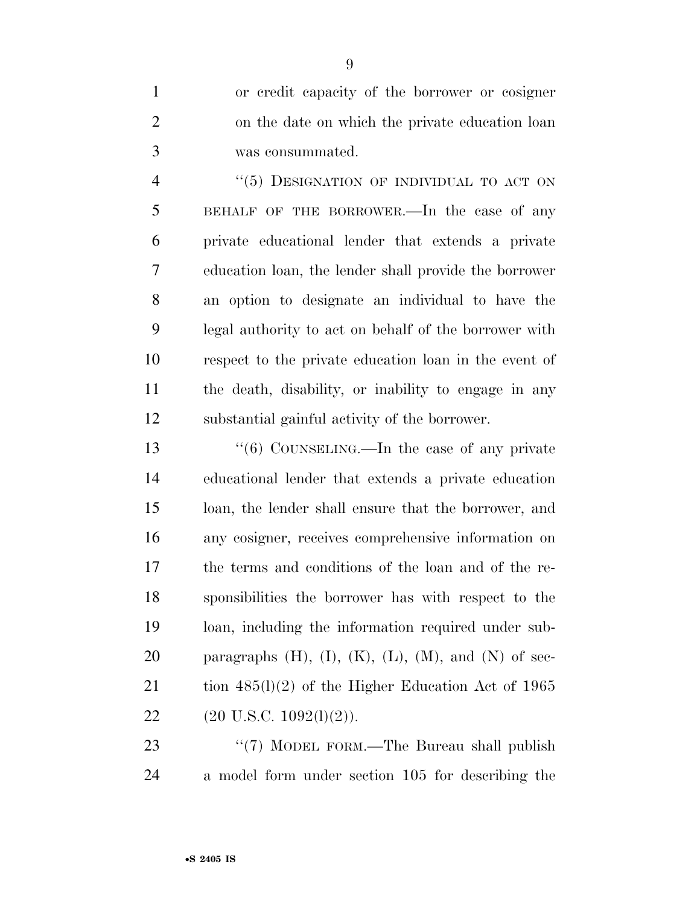or credit capacity of the borrower or cosigner on the date on which the private education loan was consummated.

4 "(5) DESIGNATION OF INDIVIDUAL TO ACT ON BEHALF OF THE BORROWER.—In the case of any private educational lender that extends a private education loan, the lender shall provide the borrower an option to designate an individual to have the legal authority to act on behalf of the borrower with respect to the private education loan in the event of the death, disability, or inability to engage in any substantial gainful activity of the borrower.

13 "(6) COUNSELING.—In the case of any private educational lender that extends a private education loan, the lender shall ensure that the borrower, and any cosigner, receives comprehensive information on the terms and conditions of the loan and of the re- sponsibilities the borrower has with respect to the loan, including the information required under sub-20 paragraphs  $(H)$ ,  $(I)$ ,  $(K)$ ,  $(L)$ ,  $(M)$ , and  $(N)$  of sec-21 tion 485(l)(2) of the Higher Education Act of 1965 22 (20 U.S.C.  $1092(1)(2)$ ).

23 "(7) MODEL FORM.—The Bureau shall publish a model form under section 105 for describing the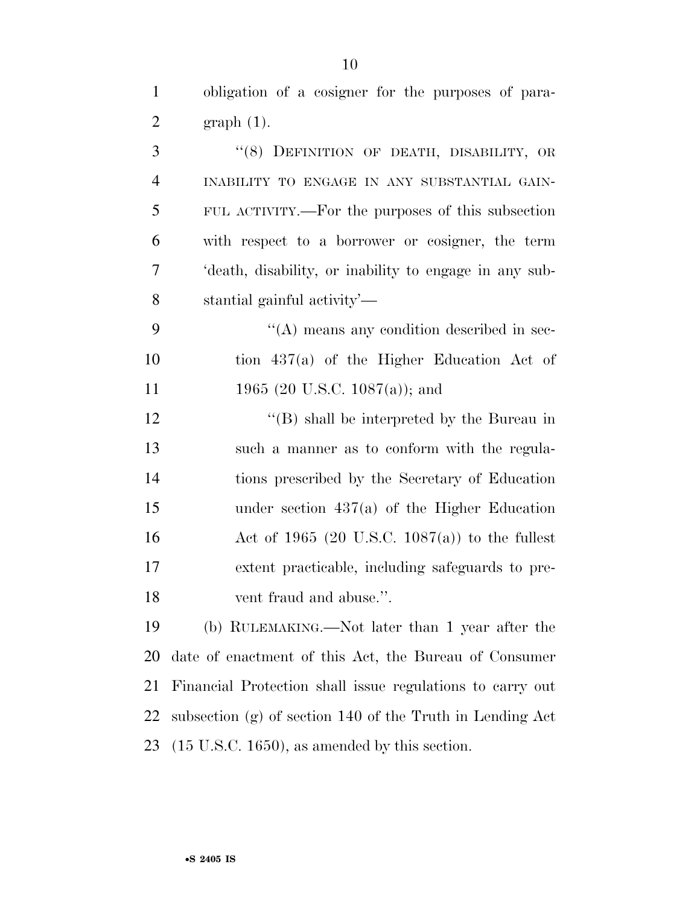obligation of a cosigner for the purposes of para- graph (1). 3 "(8) DEFINITION OF DEATH, DISABILITY, OR INABILITY TO ENGAGE IN ANY SUBSTANTIAL GAIN-

 FUL ACTIVITY.—For the purposes of this subsection with respect to a borrower or cosigner, the term 'death, disability, or inability to engage in any sub-stantial gainful activity'—

 ''(A) means any condition described in sec- tion 437(a) of the Higher Education Act of 11 1965 (20 U.S.C. 1087(a)); and

12 "(B) shall be interpreted by the Bureau in such a manner as to conform with the regula- tions prescribed by the Secretary of Education under section 437(a) of the Higher Education Act of 1965 (20 U.S.C. 1087(a)) to the fullest extent practicable, including safeguards to pre-vent fraud and abuse.''.

 (b) RULEMAKING.—Not later than 1 year after the date of enactment of this Act, the Bureau of Consumer Financial Protection shall issue regulations to carry out subsection (g) of section 140 of the Truth in Lending Act (15 U.S.C. 1650), as amended by this section.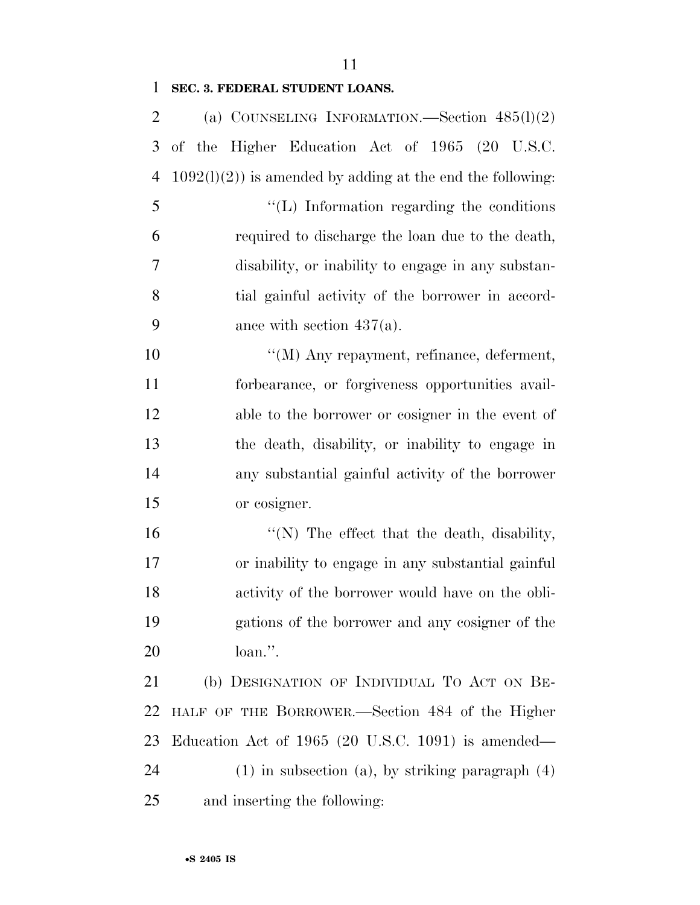# **SEC. 3. FEDERAL STUDENT LOANS.**

| 2              | (a) COUNSELING INFORMATION.—Section $485(l)(2)$               |
|----------------|---------------------------------------------------------------|
| 3              | of the Higher Education Act of 1965 (20 U.S.C.                |
| $\overline{4}$ | $1092(1)(2)$ ) is amended by adding at the end the following: |
| 5              | $\lq\lq$ . Information regarding the conditions               |
| 6              | required to discharge the loan due to the death,              |
| 7              | disability, or inability to engage in any substan-            |
| 8              | tial gainful activity of the borrower in accord-              |
| 9              | ance with section $437(a)$ .                                  |
| 10             | "(M) Any repayment, refinance, deferment,                     |
| 11             | forbearance, or forgiveness opportunities avail-              |
| 12             | able to the borrower or cosigner in the event of              |
| 13             | the death, disability, or inability to engage in              |
| 14             | any substantial gainful activity of the borrower              |
| 15             | or cosigner.                                                  |
| 16             | "(N) The effect that the death, disability,                   |
| 17             | or inability to engage in any substantial gainful             |
| 18             | activity of the borrower would have on the obli-              |
| 19             | gations of the borrower and any cosigner of the               |
| 20             | loan.".                                                       |
| 21             | (b) DESIGNATION OF INDIVIDUAL TO ACT ON BE-                   |
| 22             | HALF OF THE BORROWER.—Section 484 of the Higher               |
| 23             | Education Act of $1965$ (20 U.S.C. 1091) is amended—          |
| 24             | $(1)$ in subsection $(a)$ , by striking paragraph $(4)$       |
| 25             | and inserting the following:                                  |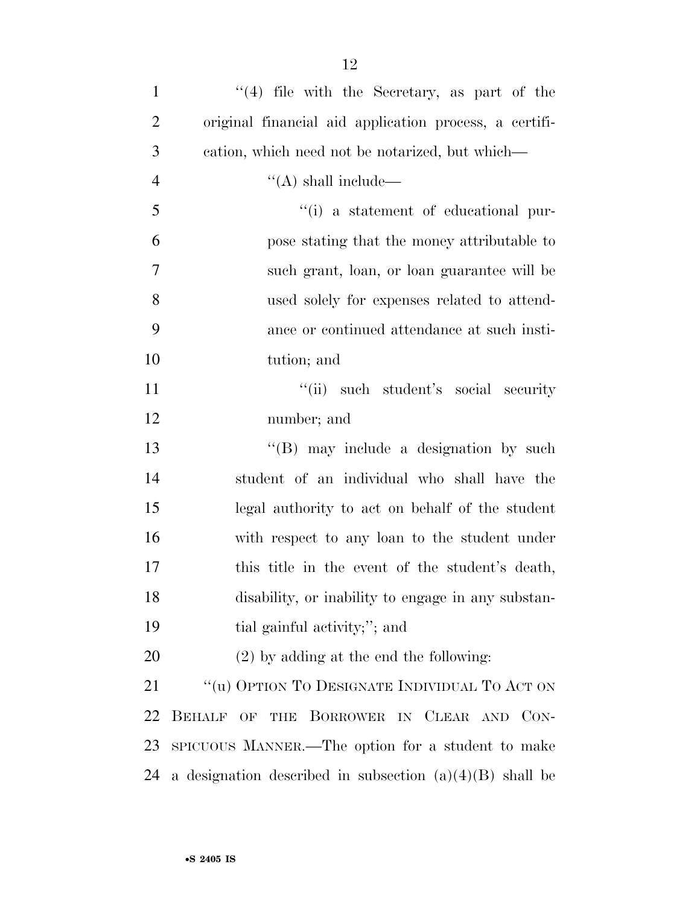| $\mathbf{1}$   | $(4)$ file with the Secretary, as part of the              |
|----------------|------------------------------------------------------------|
| $\overline{2}$ | original financial aid application process, a certifi-     |
| 3              | cation, which need not be notarized, but which—            |
| $\overline{4}$ | $\lq\lq$ shall include—                                    |
| 5              | "(i) a statement of educational pur-                       |
| 6              | pose stating that the money attributable to                |
| $\tau$         | such grant, loan, or loan guarantee will be                |
| 8              | used solely for expenses related to attend-                |
| 9              | ance or continued attendance at such insti-                |
| 10             | tution; and                                                |
| 11             | "(ii) such student's social security                       |
| 12             | number; and                                                |
| 13             | $\lq\lq (B)$ may include a designation by such             |
| 14             | student of an individual who shall have the                |
| 15             | legal authority to act on behalf of the student            |
| 16             | with respect to any loan to the student under              |
| 17             | this title in the event of the student's death,            |
| 18             | disability, or inability to engage in any substan-         |
| 19             | tial gainful activity;"; and                               |
| <b>20</b>      | $(2)$ by adding at the end the following:                  |
| 21             | $\lq\lq (u)$ Option To Designate Individual To Act on      |
| 22             | BEHALF OF THE BORROWER IN CLEAR AND CON-                   |
| 23             | SPICUOUS MANNER.—The option for a student to make          |
| 24             | a designation described in subsection $(a)(4)(B)$ shall be |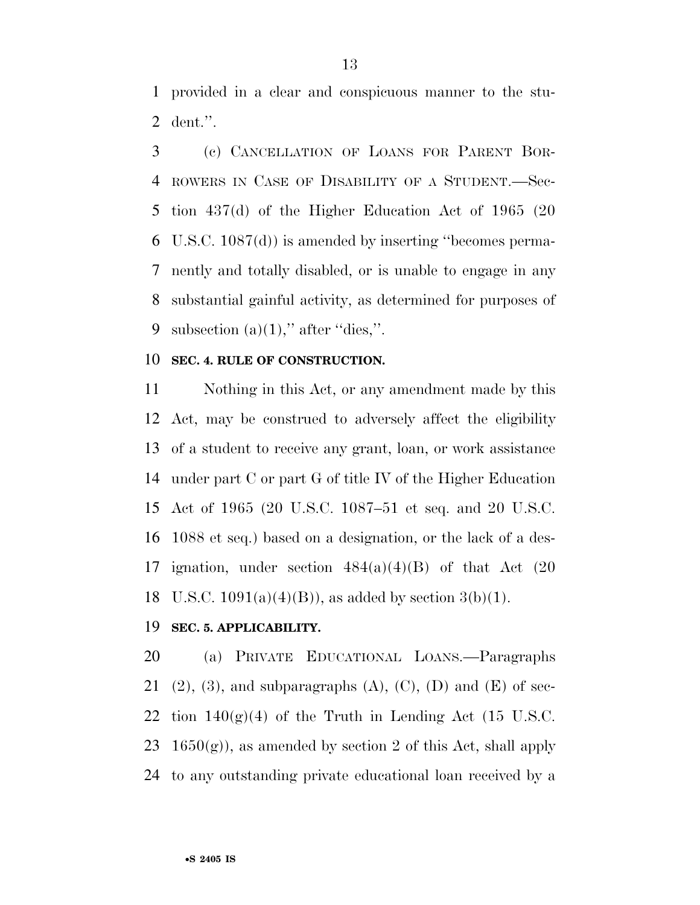provided in a clear and conspicuous manner to the stu-dent.''.

 (c) CANCELLATION OF LOANS FOR PARENT BOR- ROWERS IN CASE OF DISABILITY OF A STUDENT.—Sec- tion 437(d) of the Higher Education Act of 1965 (20 U.S.C. 1087(d)) is amended by inserting ''becomes perma- nently and totally disabled, or is unable to engage in any substantial gainful activity, as determined for purposes of 9 subsection  $(a)(1)$ ," after "dies,".

## **SEC. 4. RULE OF CONSTRUCTION.**

 Nothing in this Act, or any amendment made by this Act, may be construed to adversely affect the eligibility of a student to receive any grant, loan, or work assistance under part C or part G of title IV of the Higher Education Act of 1965 (20 U.S.C. 1087–51 et seq. and 20 U.S.C. 1088 et seq.) based on a designation, or the lack of a des-17 ignation, under section  $484(a)(4)(B)$  of that Act  $(20)$ 18 U.S.C.  $1091(a)(4)(B)$ , as added by section 3(b)(1).

### **SEC. 5. APPLICABILITY.**

 (a) PRIVATE EDUCATIONAL LOANS.—Paragraphs 21 (2), (3), and subparagraphs (A), (C), (D) and (E) of sec-22 tion  $140(g)(4)$  of the Truth in Lending Act (15 U.S.C. 23  $1650(g)$ , as amended by section 2 of this Act, shall apply to any outstanding private educational loan received by a